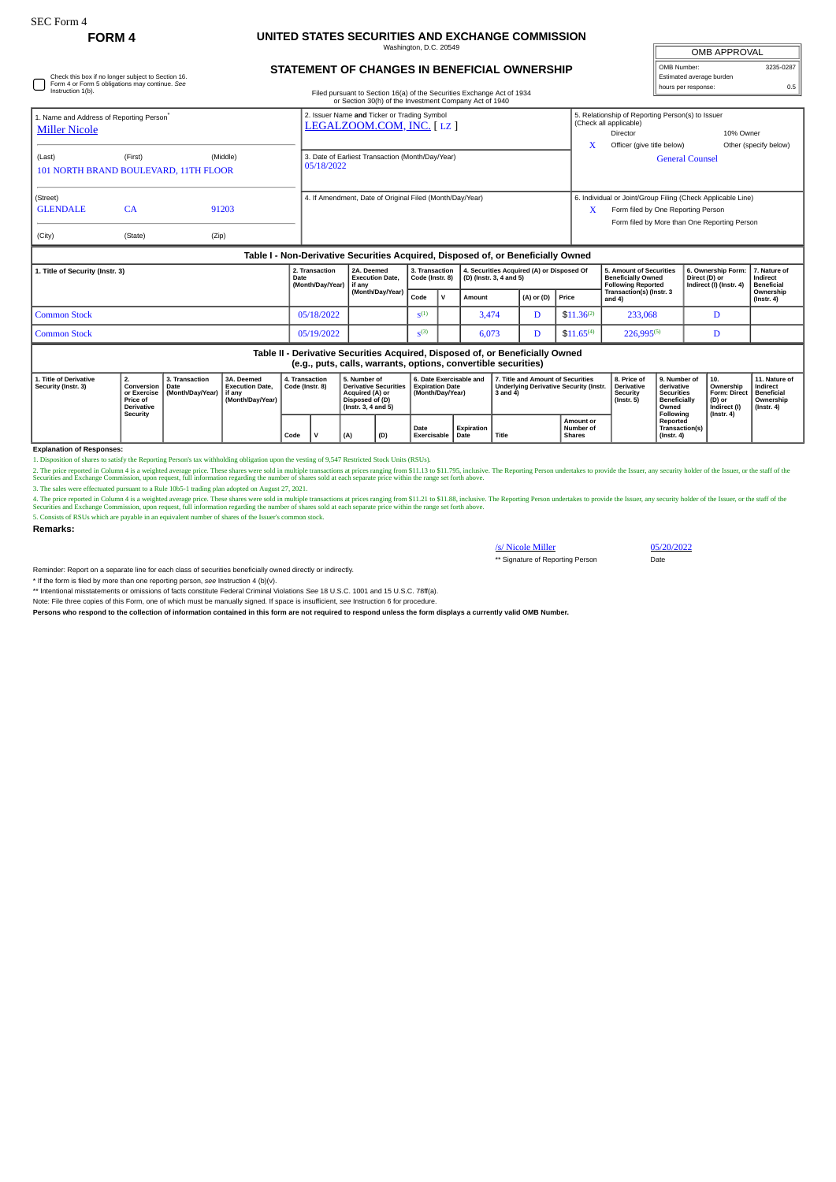(Street)

GLENDALE CA 91203

## **FORM 4 UNITED STATES SECURITIES AND EXCHANGE COMMISSION** hington, D.C. 2

| Check this box if no longer subject to Section 16.                     | <b>STATEMENT OF CHANGES IN BENEFICIAL OWNERSHIP</b>                                                                              | 3235-0287<br>OMB Number:<br>Estimated average burden                                                                 |                        |                                    |  |  |
|------------------------------------------------------------------------|----------------------------------------------------------------------------------------------------------------------------------|----------------------------------------------------------------------------------------------------------------------|------------------------|------------------------------------|--|--|
| Form 4 or Form 5 obligations may continue. See<br>Instruction 1(b).    | Filed pursuant to Section 16(a) of the Securities Exchange Act of 1934<br>or Section 30(h) of the Investment Company Act of 1940 |                                                                                                                      | hours per response:    | 0.5                                |  |  |
| 1. Name and Address of Reporting Person®<br><b>Miller Nicole</b>       | 2. Issuer Name and Ticker or Trading Symbol<br>LEGALZOOM.COM, INC. [LZ]                                                          | 5. Relationship of Reporting Person(s) to Issuer<br>(Check all applicable)<br>Director<br>Officer (give title below) |                        | 10% Owner<br>Other (specify below) |  |  |
| (Middle)<br>(Last)<br>(First)<br>101 NORTH BRAND BOULEVARD, 11TH FLOOR | 3. Date of Earliest Transaction (Month/Day/Year)<br>05/18/2022                                                                   |                                                                                                                      | <b>General Counsel</b> |                                    |  |  |

4. If Amendment, Date of Original Filed (Month/Day/Year) 6. Individual or Joint/Group Filing (Check Applicable Line)  $X$  Form filed by One Reporting Person Form filed by More than One Reporting Person

OMB APPROVAL

## (City) (State) (Zip) **Table I - Non-Derivative Securities Acquired, Disposed of, or Beneficially Owned 1. Title of Security (Instr. 3) 2. Transaction Date (Month/Day/Year) 2A. Deemed Execution Date, if any (Month/Day/Year) 3. Transaction Code (Instr. 8) 4. Securities Acquired (A) or Disposed Of (D) (Instr. 3, 4 and 5) 5. Amount of Securities Beneficially Owned Following Reported**<br> **Following Reported Transaction(s) (Instr. 3) Code V Amount**<br> **Code V Amount** (**A)** or (D) **Price** and 4) **6. Ownership Form: Direct (D) or Indirect (I) (Instr. 4) 7. Nature of Indirect Beneficial** Common Stock 05/18/2022 S  $3,474$  D  $$11.36^{(2)}$  233,068 D  $Common Stock$   $0.5/19/2022$   $S^{(3)}$ 6,073 D  $\vert$  \$11,65<sup>(4)</sup> 226,995<sup>(5)</sup> D **Table II - Derivative Securities Acquired, Disposed of, or Beneficially Owned (e.g., puts, calls, warrants, options, convertible securities)**

| 1. Title of Derivative<br>Security (Instr. 3) | <u>L.</u><br><b>Conversion   Date</b><br>Price of<br><b>Derivative</b><br>Security | . Transaction<br>or Exercise   (Month/Dav/Year) | 3A. Deemed<br><b>Execution Date.</b><br>l if anv<br>(Month/Dav/Year) | 4. Transaction<br>Code (Instr. 8) |  | 5. Number of<br><b>Derivative Securities</b><br>Acquired (A) or<br>Disposed of (D)<br>$($ lnstr. 3. 4 and 5 $)$ |     | 6. Date Exercisable and<br><b>Expiration Date</b><br>(Month/Dav/Year) |            | 7. Title and Amount of Securities<br>Underlying Derivative Security (Instr.   Derivative<br>3 and 4) |                                                       | 8. Price o<br>Security<br>(Instr. 5) | 9. Number of<br>derivative<br>Securities<br><b>Beneficially</b><br>Owned | $^{\prime}$ 10.<br>Ownership<br>Form: Direct   Beneficial<br>(D) or<br>Indirect (I) | 11. Nature of<br>Indirect<br>Ownership<br>$($ lnstr. 4 $)$ |
|-----------------------------------------------|------------------------------------------------------------------------------------|-------------------------------------------------|----------------------------------------------------------------------|-----------------------------------|--|-----------------------------------------------------------------------------------------------------------------|-----|-----------------------------------------------------------------------|------------|------------------------------------------------------------------------------------------------------|-------------------------------------------------------|--------------------------------------|--------------------------------------------------------------------------|-------------------------------------------------------------------------------------|------------------------------------------------------------|
|                                               |                                                                                    |                                                 |                                                                      | Code                              |  | (A)                                                                                                             | (D) | Date<br>Exercisable   Date                                            | Expiration | Title                                                                                                | <b>Amount or</b><br><b>Number of</b><br><b>Shares</b> |                                      | Following<br>Reported<br><b>Transaction(s)</b><br>$($ lnstr. 4 $)$       | $($ lnstr. 4 $)$                                                                    |                                                            |

## **Explanation of Responses:**

1. Disposition of shares to satisfy the Reporting Person's tax withholding obligation upon the vesting of 9,547 Restricted Stock Units (RSUs).<br>2. The price reported in Column 4 is a weighted average price. These hares were

4. The price reported in Column 4 is a weighted average price. These shares were sold in multiple transactions at prices ranging from \$11.21 to \$11.88, inclusive. The Reporting Person undertakes to provide the Isuer, any s

5. Consists of RSUs which are payable in an equivalent number of shares of the Issuer's common stock.

**Remarks:**

S/ Nicole Miller 05/20/2022<br>
\*\* Signature of Reporting Person \*\* Signature of Reporting Person

Reminder: Report on a separate line for each class of securities beneficially owned directly or indirectly.

\* If the form is filed by more than one reporting person, *see* Instruction 4 (b)(v).

\*\* Intentional misstatements or omissions of facts constitute Federal Criminal Violations *See* 18 U.S.C. 1001 and 15 U.S.C. 78ff(a).

Note: File three copies of this Form, one of which must be manually signed. If space is insufficient, *see* Instruction 6 for procedure. **Persons who respond to the collection of information contained in this form are not required to respond unless the form displays a currently valid OMB Number.**